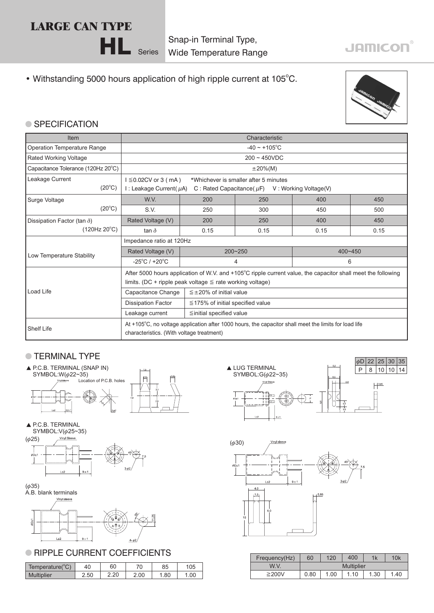## **LARGE CAN TYPE**

Snap-in Terminal Type, Wide Temperature Range

### • Withstanding 5000 hours application of high ripple current at 105°C.

HL Series



**JAMICON®** 

#### ● SPECIFICATION

| Item                               | Characteristic                                                                                               |                                        |                                  |      |             |  |  |  |  |  |
|------------------------------------|--------------------------------------------------------------------------------------------------------------|----------------------------------------|----------------------------------|------|-------------|--|--|--|--|--|
| Operation Temperature Range        | $-40 \sim +105$ °C                                                                                           |                                        |                                  |      |             |  |  |  |  |  |
| <b>Rated Working Voltage</b>       | $200 \sim 450$ VDC                                                                                           |                                        |                                  |      |             |  |  |  |  |  |
| Capacitance Tolerance (120Hz 20°C) |                                                                                                              |                                        | $\pm 20\%$ (M)                   |      |             |  |  |  |  |  |
| Leakage Current                    | $1 \leq 0.02$ CV or 3 (mA)<br>*Whichever is smaller after 5 minutes                                          |                                        |                                  |      |             |  |  |  |  |  |
| $(20^{\circ}C)$                    | I: Leakage Current( $\mu$ A)<br>C: Rated Capacitance ( $\mu$ F) V: Working Voltage (V)                       |                                        |                                  |      |             |  |  |  |  |  |
| Surge Voltage                      | W.V.                                                                                                         | 200                                    | 250                              | 400  | 450         |  |  |  |  |  |
| $(20^{\circ}C)$                    | S.V.                                                                                                         | 250                                    | 300                              | 450  | 500         |  |  |  |  |  |
| Dissipation Factor (tan $\delta$ ) | Rated Voltage (V)                                                                                            | 200                                    | 250                              | 400  | 450         |  |  |  |  |  |
| (120Hz 20°C)                       | tan $\delta$                                                                                                 | 0.15                                   | 0.15                             | 0.15 | 0.15        |  |  |  |  |  |
|                                    | Impedance ratio at 120Hz                                                                                     |                                        |                                  |      |             |  |  |  |  |  |
| Low Temperature Stability          | Rated Voltage (V)                                                                                            |                                        | $200 - 250$                      |      | $400 - 450$ |  |  |  |  |  |
|                                    | $-25^{\circ}$ C / +20 $^{\circ}$ C                                                                           |                                        | 4                                | 6    |             |  |  |  |  |  |
|                                    | After 5000 hours application of W.V. and +105°C ripple current value, the capacitor shall meet the following |                                        |                                  |      |             |  |  |  |  |  |
|                                    | limits. (DC + ripple peak voltage $\leq$ rate working voltage)                                               |                                        |                                  |      |             |  |  |  |  |  |
| Load Life                          | Capacitance Change                                                                                           |                                        | $\leq \pm 20\%$ of initial value |      |             |  |  |  |  |  |
|                                    | <b>Dissipation Factor</b>                                                                                    | $\leq$ 175% of initial specified value |                                  |      |             |  |  |  |  |  |
|                                    | Leakage current                                                                                              |                                        | $\leq$ initial specified value   |      |             |  |  |  |  |  |
| <b>Shelf Life</b>                  | At +105°C, no voltage application after 1000 hours, the capacitor shall meet the limits for load life        |                                        |                                  |      |             |  |  |  |  |  |
|                                    | characteristics. (With voltage treatment)                                                                    |                                        |                                  |      |             |  |  |  |  |  |

#### **TERMINAL TYPE**













#### **RIPPLE CURRENT COEFFICIENTS**

|            | Temperature(°C) | 40   | 60         | $\overline{z}$ | 85  | 105 |
|------------|-----------------|------|------------|----------------|-----|-----|
| Multiplier |                 | 2.50 | ാറ<br>2.ZU | 2.00           | .80 | .00 |





| Frequency(Hz) | 60                | 120  | 400  | 1k   | 10k |  |  |  |  |
|---------------|-------------------|------|------|------|-----|--|--|--|--|
| W.V.          | <b>Multiplier</b> |      |      |      |     |  |  |  |  |
| ≥200V         | 0.80              | 1.00 | 1.10 | 1.30 | .40 |  |  |  |  |